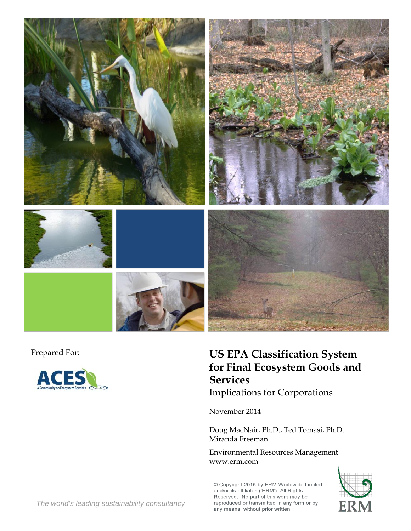

![](_page_0_Picture_2.jpeg)

# Prepared For: **US EPA Classification System for Final Ecosystem Goods and Services**

Implications for Corporations

November 2014

Doug MacNair, Ph.D., Ted Tomasi, Ph.D. Miranda Freeman

Environmental Resources Management www.erm.com

© Copyright 2015 by ERM Worldwide Limited<br>and/or its affiliates ('ERM'). All Rights<br>Reserved. No part of this work may be reproduced or transmitted in any form or by any means, without prior written

![](_page_0_Picture_9.jpeg)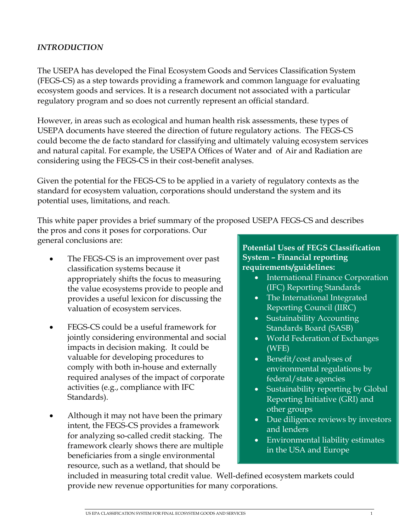# *INTRODUCTION*

The USEPA has developed the Final Ecosystem Goods and Services Classification System (FEGS-CS) as a step towards providing a framework and common language for evaluating ecosystem goods and services. It is a research document not associated with a particular regulatory program and so does not currently represent an official standard.

However, in areas such as ecological and human health risk assessments, these types of USEPA documents have steered the direction of future regulatory actions. The FEGS-CS could become the de facto standard for classifying and ultimately valuing ecosystem services and natural capital. For example, the USEPA Offices of Water and of Air and Radiation are considering using the FEGS-CS in their cost-benefit analyses.

Given the potential for the FEGS-CS to be applied in a variety of regulatory contexts as the standard for ecosystem valuation, corporations should understand the system and its potential uses, limitations, and reach.

This white paper provides a brief summary of the proposed USEPA FEGS-CS and describes the pros and cons it poses for corporations. Our general conclusions are:

- The FEGS-CS is an improvement over past classification systems because it appropriately shifts the focus to measuring the value ecosystems provide to people and provides a useful lexicon for discussing the valuation of ecosystem services.
- FEGS-CS could be a useful framework for jointly considering environmental and social impacts in decision making. It could be valuable for developing procedures to comply with both in-house and externally required analyses of the impact of corporate activities (e.g., compliance with IFC Standards).
- Although it may not have been the primary intent, the FEGS-CS provides a framework for analyzing so-called credit stacking. The framework clearly shows there are multiple beneficiaries from a single environmental resource, such as a wetland, that should be

**Potential Uses of FEGS Classification System – Financial reporting requirements/guidelines:** 

- International Finance Corporation (IFC) Reporting Standards
- The International Integrated Reporting Council (IIRC)
- Sustainability Accounting Standards Board (SASB)
- World Federation of Exchanges (WFE)
- Benefit/cost analyses of environmental regulations by federal/state agencies
- Sustainability reporting by Global Reporting Initiative (GRI) and other groups
- Due diligence reviews by investors and lenders
- Environmental liability estimates in the USA and Europe

included in measuring total credit value. Well-defined ecosystem markets could provide new revenue opportunities for many corporations.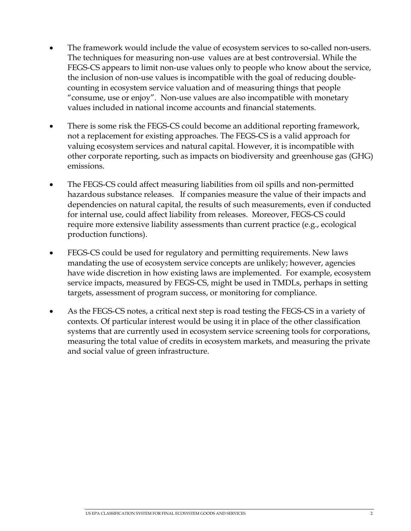- The framework would include the value of ecosystem services to so-called non-users. The techniques for measuring non-use values are at best controversial. While the FEGS-CS appears to limit non-use values only to people who know about the service, the inclusion of non-use values is incompatible with the goal of reducing doublecounting in ecosystem service valuation and of measuring things that people "consume, use or enjoy". Non-use values are also incompatible with monetary values included in national income accounts and financial statements.
- There is some risk the FEGS-CS could become an additional reporting framework, not a replacement for existing approaches. The FEGS-CS is a valid approach for valuing ecosystem services and natural capital. However, it is incompatible with other corporate reporting, such as impacts on biodiversity and greenhouse gas (GHG) emissions.
- The FEGS-CS could affect measuring liabilities from oil spills and non-permitted hazardous substance releases. If companies measure the value of their impacts and dependencies on natural capital, the results of such measurements, even if conducted for internal use, could affect liability from releases. Moreover, FEGS-CS could require more extensive liability assessments than current practice (e.g., ecological production functions).
- FEGS-CS could be used for regulatory and permitting requirements. New laws mandating the use of ecosystem service concepts are unlikely; however, agencies have wide discretion in how existing laws are implemented. For example, ecosystem service impacts, measured by FEGS-CS, might be used in TMDLs, perhaps in setting targets, assessment of program success, or monitoring for compliance.
- As the FEGS-CS notes, a critical next step is road testing the FEGS-CS in a variety of contexts. Of particular interest would be using it in place of the other classification systems that are currently used in ecosystem service screening tools for corporations, measuring the total value of credits in ecosystem markets, and measuring the private and social value of green infrastructure.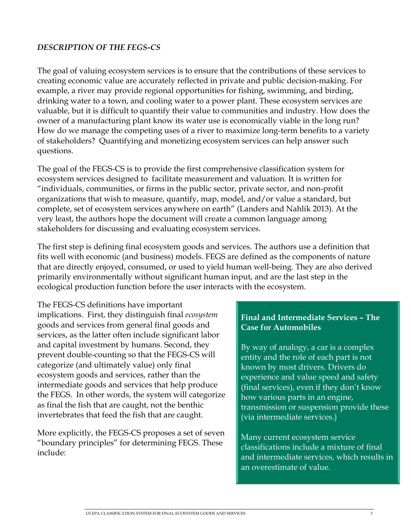# *DESCRIPTION OF THE FEGS-CS*

The goal of valuing ecosystem services is to ensure that the contributions of these services to creating economic value are accurately reflected in private and public decision-making. For example, a river may provide regional opportunities for fishing, swimming, and birding, drinking water to a town, and cooling water to a power plant. These ecosystem services are valuable, but it is difficult to quantify their value to communities and industry. How does the owner of a manufacturing plant know its water use is economically viable in the long run? How do we manage the competing uses of a river to maximize long-term benefits to a variety of stakeholders? Quantifying and monetizing ecosystem services can help answer such questions.

The goal of the FEGS-CS is to provide the first comprehensive classification system for ecosystem services designed to facilitate measurement and valuation. It is written for "individuals, communities, or firms in the public sector, private sector, and non-profit organizations that wish to measure, quantify, map, model, and/or value a standard, but complete, set of ecosystem services anywhere on earth" (Landers and Nahlik 2013). At the very least, the authors hope the document will create a common language among stakeholders for discussing and evaluating ecosystem services.

The first step is defining final ecosystem goods and services. The authors use a definition that fits well with economic (and business) models. FEGS are defined as the components of nature that are directly enjoyed, consumed, or used to yield human well-being. They are also derived primarily environmentally without significant human input, and are the last step in the ecological production function before the user interacts with the ecosystem.

The FEGS-CS definitions have important implications. First, they distinguish final *ecosystem* goods and services from general final goods and services, as the latter often include significant labor and capital investment by humans. Second, they prevent double-counting so that the FEGS-CS will categorize (and ultimately value) only final ecosystem goods and services, rather than the intermediate goods and services that help produce the FEGS. In other words, the system will categorize as final the fish that are caught, not the benthic invertebrates that feed the fish that are caught.

More explicitly, the FEGS-CS proposes a set of seven "boundary principles" for determining FEGS. These include:

# **Final and Intermediate Services – The Case for Automobiles**

By way of analogy, a car is a complex entity and the role of each part is not known by most drivers. Drivers do experience and value speed and safety (final services), even if they don't know how various parts in an engine, transmission or suspension provide these (via intermediate services.)

Many current ecosystem service classifications include a mixture of final and intermediate services, which results in an overestimate of value.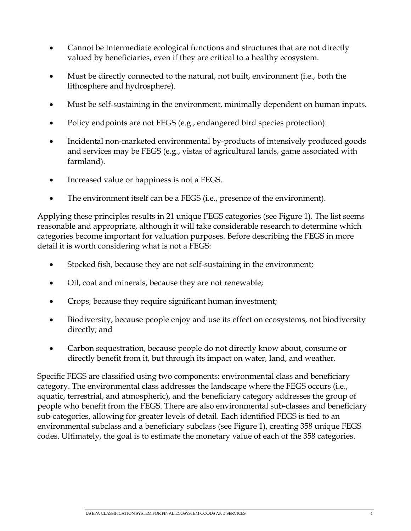- Cannot be intermediate ecological functions and structures that are not directly valued by beneficiaries, even if they are critical to a healthy ecosystem.
- Must be directly connected to the natural, not built, environment (i.e., both the lithosphere and hydrosphere).
- Must be self-sustaining in the environment, minimally dependent on human inputs.
- Policy endpoints are not FEGS (e.g., endangered bird species protection).
- Incidental non-marketed environmental by-products of intensively produced goods and services may be FEGS (e.g., vistas of agricultural lands, game associated with farmland).
- Increased value or happiness is not a FEGS.
- The environment itself can be a FEGS (i.e., presence of the environment).

Applying these principles results in 21 unique FEGS categories (see Figure 1). The list seems reasonable and appropriate, although it will take considerable research to determine which categories become important for valuation purposes. Before describing the FEGS in more detail it is worth considering what is <u>not</u> a FEGS:

- Stocked fish, because they are not self-sustaining in the environment;
- Oil, coal and minerals, because they are not renewable;
- Crops, because they require significant human investment;
- Biodiversity, because people enjoy and use its effect on ecosystems, not biodiversity directly; and
- Carbon sequestration, because people do not directly know about, consume or directly benefit from it, but through its impact on water, land, and weather.

Specific FEGS are classified using two components: environmental class and beneficiary category. The environmental class addresses the landscape where the FEGS occurs (i.e., aquatic, terrestrial, and atmospheric), and the beneficiary category addresses the group of people who benefit from the FEGS. There are also environmental sub-classes and beneficiary sub-categories, allowing for greater levels of detail. Each identified FEGS is tied to an environmental subclass and a beneficiary subclass (see Figure 1), creating 358 unique FEGS codes. Ultimately, the goal is to estimate the monetary value of each of the 358 categories.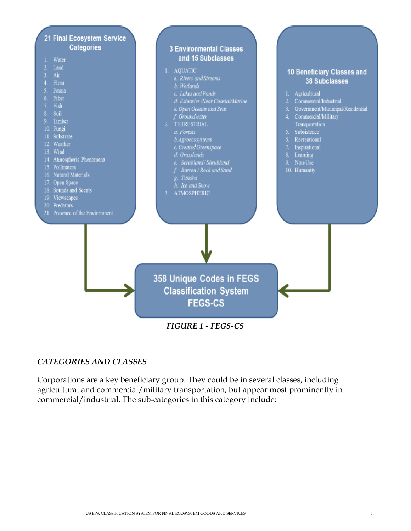![](_page_5_Figure_0.jpeg)

#### *CATEGORIES AND CLASSES*

Corporations are a key beneficiary group. They could be in several classes, including agricultural and commercial/military transportation, but appear most prominently in commercial/industrial. The sub-categories in this category include: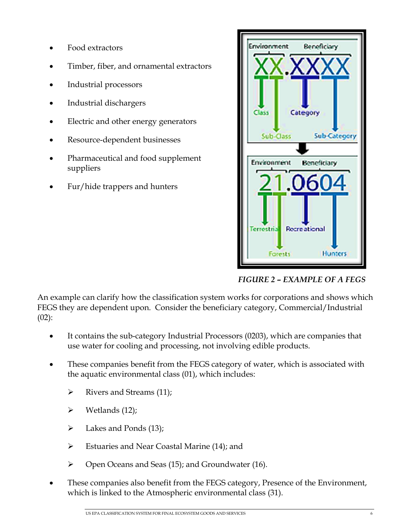- Food extractors
- Timber, fiber, and ornamental extractors
- Industrial processors
- Industrial dischargers
- Electric and other energy generators
- Resource-dependent businesses
- Pharmaceutical and food supplement suppliers
- Fur/hide trappers and hunters

![](_page_6_Figure_8.jpeg)

 *FIGURE 2 – EXAMPLE OF A FEGS* 

An example can clarify how the classification system works for corporations and shows which FEGS they are dependent upon. Consider the beneficiary category, Commercial/Industrial  $(02)$ :

- It contains the sub-category Industrial Processors (0203), which are companies that use water for cooling and processing, not involving edible products.
- These companies benefit from the FEGS category of water, which is associated with the aquatic environmental class (01), which includes:
	- $\triangleright$  Rivers and Streams (11);
	- $\triangleright$  Wetlands (12);
	- $\blacktriangleright$  Lakes and Ponds (13);
	- Estuaries and Near Coastal Marine (14); and
	- Open Oceans and Seas (15); and Groundwater (16).
- These companies also benefit from the FEGS category, Presence of the Environment, which is linked to the Atmospheric environmental class (31).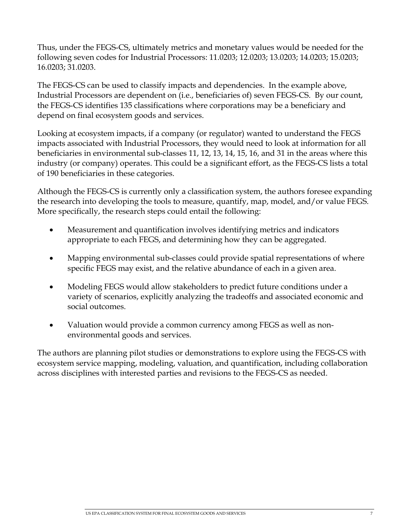Thus, under the FEGS-CS, ultimately metrics and monetary values would be needed for the following seven codes for Industrial Processors: 11.0203; 12.0203; 13.0203; 14.0203; 15.0203; 16.0203; 31.0203.

The FEGS-CS can be used to classify impacts and dependencies. In the example above, Industrial Processors are dependent on (i.e., beneficiaries of) seven FEGS-CS. By our count, the FEGS-CS identifies 135 classifications where corporations may be a beneficiary and depend on final ecosystem goods and services.

Looking at ecosystem impacts, if a company (or regulator) wanted to understand the FEGS impacts associated with Industrial Processors, they would need to look at information for all beneficiaries in environmental sub-classes 11, 12, 13, 14, 15, 16, and 31 in the areas where this industry (or company) operates. This could be a significant effort, as the FEGS-CS lists a total of 190 beneficiaries in these categories.

Although the FEGS-CS is currently only a classification system, the authors foresee expanding the research into developing the tools to measure, quantify, map, model, and/or value FEGS. More specifically, the research steps could entail the following:

- Measurement and quantification involves identifying metrics and indicators appropriate to each FEGS, and determining how they can be aggregated.
- Mapping environmental sub-classes could provide spatial representations of where specific FEGS may exist, and the relative abundance of each in a given area.
- Modeling FEGS would allow stakeholders to predict future conditions under a variety of scenarios, explicitly analyzing the tradeoffs and associated economic and social outcomes.
- Valuation would provide a common currency among FEGS as well as nonenvironmental goods and services.

The authors are planning pilot studies or demonstrations to explore using the FEGS-CS with ecosystem service mapping, modeling, valuation, and quantification, including collaboration across disciplines with interested parties and revisions to the FEGS-CS as needed.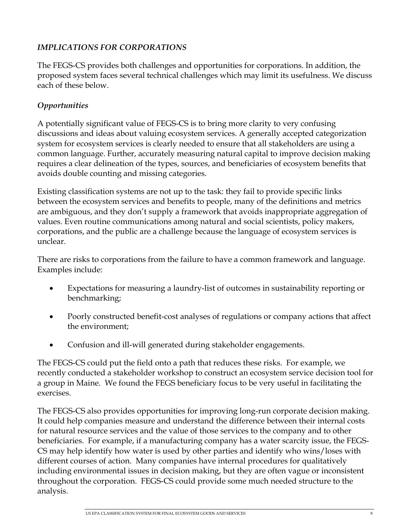# *IMPLICATIONS FOR CORPORATIONS*

The FEGS-CS provides both challenges and opportunities for corporations. In addition, the proposed system faces several technical challenges which may limit its usefulness. We discuss each of these below.

# *Opportunities*

A potentially significant value of FEGS-CS is to bring more clarity to very confusing discussions and ideas about valuing ecosystem services. A generally accepted categorization system for ecosystem services is clearly needed to ensure that all stakeholders are using a common language. Further, accurately measuring natural capital to improve decision making requires a clear delineation of the types, sources, and beneficiaries of ecosystem benefits that avoids double counting and missing categories.

Existing classification systems are not up to the task: they fail to provide specific links between the ecosystem services and benefits to people, many of the definitions and metrics are ambiguous, and they don't supply a framework that avoids inappropriate aggregation of values. Even routine communications among natural and social scientists, policy makers, corporations, and the public are a challenge because the language of ecosystem services is unclear.

There are risks to corporations from the failure to have a common framework and language. Examples include:

- Expectations for measuring a laundry-list of outcomes in sustainability reporting or benchmarking;
- Poorly constructed benefit-cost analyses of regulations or company actions that affect the environment;
- Confusion and ill-will generated during stakeholder engagements.

The FEGS-CS could put the field onto a path that reduces these risks. For example, we recently conducted a stakeholder workshop to construct an ecosystem service decision tool for a group in Maine. We found the FEGS beneficiary focus to be very useful in facilitating the exercises.

The FEGS-CS also provides opportunities for improving long-run corporate decision making. It could help companies measure and understand the difference between their internal costs for natural resource services and the value of those services to the company and to other beneficiaries. For example, if a manufacturing company has a water scarcity issue, the FEGS-CS may help identify how water is used by other parties and identify who wins/loses with different courses of action. Many companies have internal procedures for qualitatively including environmental issues in decision making, but they are often vague or inconsistent throughout the corporation. FEGS-CS could provide some much needed structure to the analysis.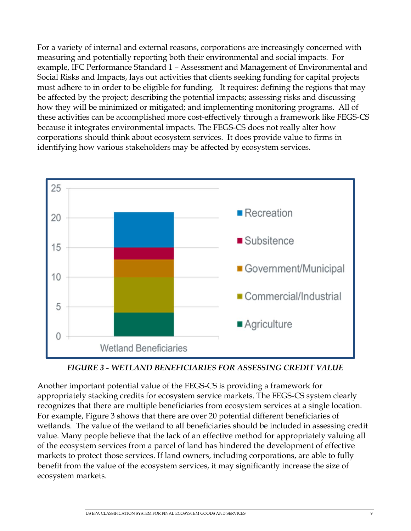For a variety of internal and external reasons, corporations are increasingly concerned with measuring and potentially reporting both their environmental and social impacts. For example, IFC Performance Standard 1 – Assessment and Management of Environmental and Social Risks and Impacts, lays out activities that clients seeking funding for capital projects must adhere to in order to be eligible for funding. It requires: defining the regions that may be affected by the project; describing the potential impacts; assessing risks and discussing how they will be minimized or mitigated; and implementing monitoring programs. All of these activities can be accomplished more cost-effectively through a framework like FEGS-CS because it integrates environmental impacts. The FEGS-CS does not really alter how corporations should think about ecosystem services. It does provide value to firms in identifying how various stakeholders may be affected by ecosystem services.

![](_page_9_Figure_1.jpeg)

# *FIGURE 3 - WETLAND BENEFICIARIES FOR ASSESSING CREDIT VALUE*

Another important potential value of the FEGS-CS is providing a framework for appropriately stacking credits for ecosystem service markets. The FEGS-CS system clearly recognizes that there are multiple beneficiaries from ecosystem services at a single location. For example, Figure 3 shows that there are over 20 potential different beneficiaries of wetlands. The value of the wetland to all beneficiaries should be included in assessing credit value. Many people believe that the lack of an effective method for appropriately valuing all of the ecosystem services from a parcel of land has hindered the development of effective markets to protect those services. If land owners, including corporations, are able to fully benefit from the value of the ecosystem services, it may significantly increase the size of ecosystem markets.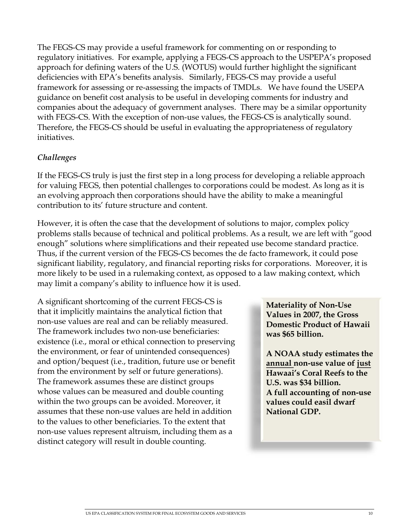The FEGS-CS may provide a useful framework for commenting on or responding to regulatory initiatives. For example, applying a FEGS-CS approach to the USPEPA's proposed approach for defining waters of the U.S. (WOTUS) would further highlight the significant deficiencies with EPA's benefits analysis. Similarly, FEGS-CS may provide a useful framework for assessing or re-assessing the impacts of TMDLs. We have found the USEPA guidance on benefit cost analysis to be useful in developing comments for industry and companies about the adequacy of government analyses. There may be a similar opportunity with FEGS-CS. With the exception of non-use values, the FEGS-CS is analytically sound. Therefore, the FEGS-CS should be useful in evaluating the appropriateness of regulatory initiatives.

# *Challenges*

If the FEGS-CS truly is just the first step in a long process for developing a reliable approach for valuing FEGS, then potential challenges to corporations could be modest. As long as it is an evolving approach then corporations should have the ability to make a meaningful contribution to its' future structure and content.

However, it is often the case that the development of solutions to major, complex policy problems stalls because of technical and political problems. As a result, we are left with "good enough" solutions where simplifications and their repeated use become standard practice. Thus, if the current version of the FEGS-CS becomes the de facto framework, it could pose significant liability, regulatory, and financial reporting risks for corporations. Moreover, it is more likely to be used in a rulemaking context, as opposed to a law making context, which may limit a company's ability to influence how it is used.

A significant shortcoming of the current FEGS-CS is that it implicitly maintains the analytical fiction that non-use values are real and can be reliably measured. The framework includes two non-use beneficiaries: existence (i.e., moral or ethical connection to preserving the environment, or fear of unintended consequences) and option/bequest (i.e., tradition, future use or benefit from the environment by self or future generations). The framework assumes these are distinct groups whose values can be measured and double counting within the two groups can be avoided. Moreover, it assumes that these non-use values are held in addition to the values to other beneficiaries. To the extent that non-use values represent altruism, including them as a distinct category will result in double counting.

**Materiality of Non-Use Values in 2007, the Gross Domestic Product of Hawaii was \$65 billion.** 

**A NOAA study estimates the annual non-use value of just Hawaai's Coral Reefs to the U.S. was \$34 billion. A full accounting of non-use values could easil dwarf National GDP.**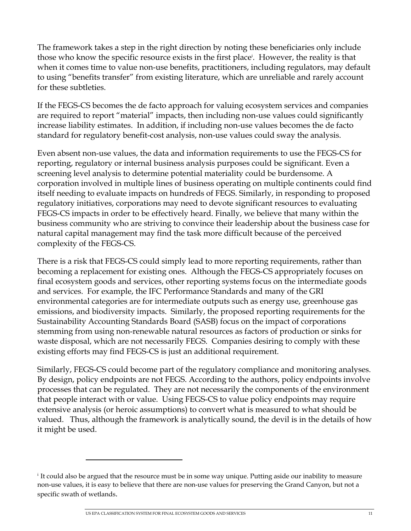The framework takes a step in the right direction by noting these beneficiaries only include those who know the specific resource exists in the first place<sup>†</sup>. However, the reality is that when it comes time to value non-use benefits, practitioners, including regulators, may default to using "benefits transfer" from existing literature, which are unreliable and rarely account for these subtleties.

If the FEGS-CS becomes the de facto approach for valuing ecosystem services and companies are required to report "material" impacts, then including non-use values could significantly increase liability estimates. In addition, if including non-use values becomes the de facto standard for regulatory benefit-cost analysis, non-use values could sway the analysis.

Even absent non-use values, the data and information requirements to use the FEGS-CS for reporting, regulatory or internal business analysis purposes could be significant. Even a screening level analysis to determine potential materiality could be burdensome. A corporation involved in multiple lines of business operating on multiple continents could find itself needing to evaluate impacts on hundreds of FEGS. Similarly, in responding to proposed regulatory initiatives, corporations may need to devote significant resources to evaluating FEGS-CS impacts in order to be effectively heard. Finally, we believe that many within the business community who are striving to convince their leadership about the business case for natural capital management may find the task more difficult because of the perceived complexity of the FEGS-CS.

There is a risk that FEGS-CS could simply lead to more reporting requirements, rather than becoming a replacement for existing ones. Although the FEGS-CS appropriately focuses on final ecosystem goods and services, other reporting systems focus on the intermediate goods and services. For example, the IFC Performance Standards and many of the GRI environmental categories are for intermediate outputs such as energy use, greenhouse gas emissions, and biodiversity impacts. Similarly, the proposed reporting requirements for the Sustainability Accounting Standards Board (SASB) focus on the impact of corporations stemming from using non-renewable natural resources as factors of production or sinks for waste disposal, which are not necessarily FEGS. Companies desiring to comply with these existing efforts may find FEGS-CS is just an additional requirement.

Similarly, FEGS-CS could become part of the regulatory compliance and monitoring analyses. By design, policy endpoints are not FEGS. According to the authors, policy endpoints involve processes that can be regulated. They are not necessarily the components of the environment that people interact with or value. Using FEGS-CS to value policy endpoints may require extensive analysis (or heroic assumptions) to convert what is measured to what should be valued. Thus, although the framework is analytically sound, the devil is in the details of how it might be used.

 $\overline{a}$ 

<sup>&</sup>lt;sup>i</sup> It could also be argued that the resource must be in some way unique. Putting aside our inability to measure non-use values, it is easy to believe that there are non-use values for preserving the Grand Canyon, but not a specific swath of wetlands.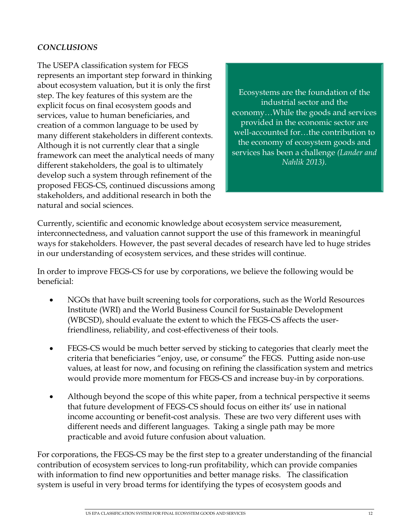# *CONCLUSIONS*

The USEPA classification system for FEGS represents an important step forward in thinking about ecosystem valuation, but it is only the first step. The key features of this system are the explicit focus on final ecosystem goods and services, value to human beneficiaries, and creation of a common language to be used by many different stakeholders in different contexts. Although it is not currently clear that a single framework can meet the analytical needs of many different stakeholders, the goal is to ultimately develop such a system through refinement of the proposed FEGS-CS, continued discussions among stakeholders, and additional research in both the natural and social sciences.

Ecosystems are the foundation of the industrial sector and the economy…While the goods and services provided in the economic sector are well-accounted for…the contribution to the economy of ecosystem goods and services has been a challenge *(Lander and Nahlik 2013).*

Currently, scientific and economic knowledge about ecosystem service measurement, interconnectedness, and valuation cannot support the use of this framework in meaningful ways for stakeholders. However, the past several decades of research have led to huge strides in our understanding of ecosystem services, and these strides will continue.

In order to improve FEGS-CS for use by corporations, we believe the following would be beneficial:

- NGOs that have built screening tools for corporations, such as the World Resources Institute (WRI) and the World Business Council for Sustainable Development (WBCSD), should evaluate the extent to which the FEGS-CS affects the userfriendliness, reliability, and cost-effectiveness of their tools.
- FEGS-CS would be much better served by sticking to categories that clearly meet the criteria that beneficiaries "enjoy, use, or consume" the FEGS. Putting aside non-use values, at least for now, and focusing on refining the classification system and metrics would provide more momentum for FEGS-CS and increase buy-in by corporations.
- Although beyond the scope of this white paper, from a technical perspective it seems that future development of FEGS-CS should focus on either its' use in national income accounting or benefit-cost analysis. These are two very different uses with different needs and different languages. Taking a single path may be more practicable and avoid future confusion about valuation.

For corporations, the FEGS-CS may be the first step to a greater understanding of the financial contribution of ecosystem services to long-run profitability, which can provide companies with information to find new opportunities and better manage risks. The classification system is useful in very broad terms for identifying the types of ecosystem goods and